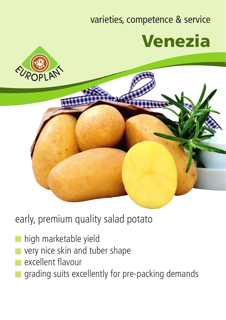## varieties, competence & service





early, premium quality salad potato

- high marketable yield
- very nice skin and tuber shape
- excellent flavour
- grading suits excellently for pre-packing demands